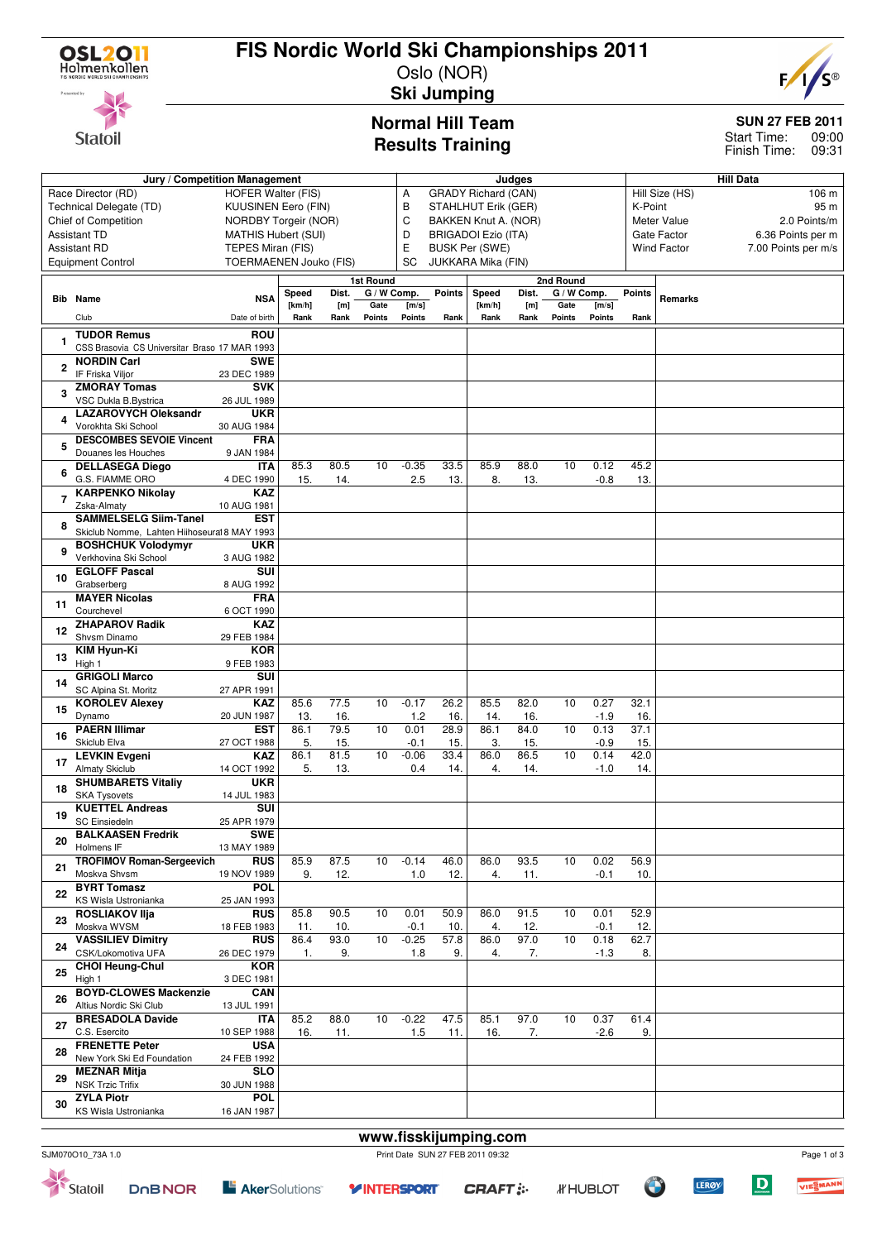

**Statoil** 

# **FIS Nordic World Ski Championships 2011**

 $F$ 

### Oslo (NOR) **Ski Jumping**

## **Normal Hill Team Results Training**

### **SUN 27 FEB 2011**

09:00 Finish Time: 09:31 Start Time:

|                                                                        | Jury / Competition Management                      | Judges                    |                           |                            |                          |                |                                      | <b>Hill Data</b>      |                         |                                    |                 |               |                                  |                     |  |
|------------------------------------------------------------------------|----------------------------------------------------|---------------------------|---------------------------|----------------------------|--------------------------|----------------|--------------------------------------|-----------------------|-------------------------|------------------------------------|-----------------|---------------|----------------------------------|---------------------|--|
|                                                                        | Race Director (RD)                                 | Α<br>B                    |                           | <b>GRADY Richard (CAN)</b> |                          |                |                                      |                       | Hill Size (HS)<br>106 m |                                    |                 |               |                                  |                     |  |
| Technical Delegate (TD)<br>KUUSINEN Eero (FIN)<br>NORDBY Torgeir (NOR) |                                                    |                           |                           |                            |                          |                |                                      | STAHLHUT Erik (GER)   |                         |                                    | K-Point<br>95 m |               |                                  |                     |  |
|                                                                        | <b>Chief of Competition</b>                        |                           | C<br>BAKKEN Knut A. (NOR) |                            |                          |                |                                      |                       |                         | <b>Meter Value</b><br>2.0 Points/m |                 |               |                                  |                     |  |
| <b>Assistant TD</b><br><b>MATHIS Hubert (SUI)</b>                      |                                                    |                           |                           |                            |                          |                | D<br><b>BRIGADOI Ezio (ITA)</b><br>E |                       |                         |                                    |                 |               | Gate Factor<br>6.36 Points per m |                     |  |
| <b>Assistant RD</b><br>TEPES Miran (FIS)<br>TOERMAENEN Jouko (FIS)     |                                                    |                           |                           |                            |                          |                |                                      | <b>BUSK Per (SWE)</b> |                         |                                    |                 |               | <b>Wind Factor</b>               | 7.00 Points per m/s |  |
|                                                                        | <b>Equipment Control</b>                           |                           |                           |                            |                          | <b>SC</b>      |                                      | JUKKARA Mika (FIN)    |                         |                                    |                 |               |                                  |                     |  |
|                                                                        |                                                    |                           |                           |                            | 1st Round<br>G / W Comp. |                | Points                               | Speed                 | Dist.                   | 2nd Round<br>G / W Comp.           |                 | <b>Points</b> |                                  |                     |  |
|                                                                        | <b>Bib</b> Name                                    | <b>NSA</b>                | Speed<br>[km/h]           | Dist.<br>[m]               | Gate                     | [m/s]          |                                      | [km/h]                | [m]                     | Gate                               | [m/s]           |               | Remarks                          |                     |  |
|                                                                        | Club                                               | Date of birth             | Rank                      | Rank                       | Points                   | Points         | Rank                                 | Rank                  | Rank                    | Points                             | <b>Points</b>   | Rank          |                                  |                     |  |
|                                                                        | <b>TUDOR Remus</b>                                 | <b>ROU</b>                |                           |                            |                          |                |                                      |                       |                         |                                    |                 |               |                                  |                     |  |
|                                                                        | CSS Brasovia CS Universitar Braso 17 MAR 1993      |                           |                           |                            |                          |                |                                      |                       |                         |                                    |                 |               |                                  |                     |  |
| 2                                                                      | <b>NORDIN Carl</b>                                 | <b>SWE</b>                |                           |                            |                          |                |                                      |                       |                         |                                    |                 |               |                                  |                     |  |
|                                                                        | IF Friska Viljor<br><b>ZMORAY Tomas</b>            | 23 DEC 1989<br><b>SVK</b> |                           |                            |                          |                |                                      |                       |                         |                                    |                 |               |                                  |                     |  |
| 3                                                                      | VSC Dukla B.Bystrica                               | 26 JUL 1989               |                           |                            |                          |                |                                      |                       |                         |                                    |                 |               |                                  |                     |  |
|                                                                        | <b>LAZAROVYCH Oleksandr</b>                        | <b>UKR</b>                |                           |                            |                          |                |                                      |                       |                         |                                    |                 |               |                                  |                     |  |
| 4                                                                      | Vorokhta Ski School                                | 30 AUG 1984               |                           |                            |                          |                |                                      |                       |                         |                                    |                 |               |                                  |                     |  |
| 5                                                                      | <b>DESCOMBES SEVOIE Vincent</b>                    | <b>FRA</b>                |                           |                            |                          |                |                                      |                       |                         |                                    |                 |               |                                  |                     |  |
|                                                                        | Douanes les Houches                                | 9 JAN 1984                | 85.3                      | 80.5                       | 10                       |                |                                      | 85.9                  | 88.0                    | 10                                 | 0.12            | 45.2          |                                  |                     |  |
| 6                                                                      | <b>DELLASEGA Diego</b><br>G.S. FIAMME ORO          | <b>ITA</b><br>4 DEC 1990  | 15.                       | 14.                        |                          | $-0.35$<br>2.5 | 33.5<br>13.                          | 8.                    | 13.                     |                                    | $-0.8$          | 13.           |                                  |                     |  |
|                                                                        | <b>KARPENKO Nikolav</b>                            | <b>KAZ</b>                |                           |                            |                          |                |                                      |                       |                         |                                    |                 |               |                                  |                     |  |
| 7                                                                      | Zska-Almaty                                        | 10 AUG 1981               |                           |                            |                          |                |                                      |                       |                         |                                    |                 |               |                                  |                     |  |
| 8                                                                      | <b>SAMMELSELG Siim-Tanel</b>                       | <b>EST</b>                |                           |                            |                          |                |                                      |                       |                         |                                    |                 |               |                                  |                     |  |
|                                                                        | Skiclub Nomme, Lahten Hiihoseural 8 MAY 1993       |                           |                           |                            |                          |                |                                      |                       |                         |                                    |                 |               |                                  |                     |  |
| 9                                                                      | <b>BOSHCHUK Volodymyr</b><br>Verkhovina Ski School | <b>UKR</b><br>3 AUG 1982  |                           |                            |                          |                |                                      |                       |                         |                                    |                 |               |                                  |                     |  |
|                                                                        | <b>EGLOFF Pascal</b>                               | SUI                       |                           |                            |                          |                |                                      |                       |                         |                                    |                 |               |                                  |                     |  |
| 10                                                                     | Grabserberg                                        | 8 AUG 1992                |                           |                            |                          |                |                                      |                       |                         |                                    |                 |               |                                  |                     |  |
| 11                                                                     | <b>MAYER Nicolas</b>                               | <b>FRA</b>                |                           |                            |                          |                |                                      |                       |                         |                                    |                 |               |                                  |                     |  |
|                                                                        | Courchevel                                         | 6 OCT 1990                |                           |                            |                          |                |                                      |                       |                         |                                    |                 |               |                                  |                     |  |
| 12                                                                     | <b>ZHAPAROV Radik</b><br>Shvsm Dinamo              | <b>KAZ</b><br>29 FEB 1984 |                           |                            |                          |                |                                      |                       |                         |                                    |                 |               |                                  |                     |  |
|                                                                        | <b>KIM Hyun-Ki</b>                                 | <b>KOR</b>                |                           |                            |                          |                |                                      |                       |                         |                                    |                 |               |                                  |                     |  |
| 13                                                                     | High 1                                             | 9 FEB 1983                |                           |                            |                          |                |                                      |                       |                         |                                    |                 |               |                                  |                     |  |
| 14                                                                     | <b>GRIGOLI Marco</b>                               | SUI                       |                           |                            |                          |                |                                      |                       |                         |                                    |                 |               |                                  |                     |  |
|                                                                        | SC Alpina St. Moritz                               | 27 APR 1991               |                           |                            |                          |                |                                      |                       |                         |                                    |                 |               |                                  |                     |  |
| 15                                                                     | <b>KOROLEV Alexev</b><br>Dynamo                    | <b>KAZ</b><br>20 JUN 1987 | 85.6<br>13.               | 77.5<br>16.                | 10                       | $-0.17$<br>1.2 | 26.2<br>16.                          | 85.5<br>14.           | 82.0<br>16.             | 10                                 | 0.27<br>$-1.9$  | 32.1<br>16.   |                                  |                     |  |
|                                                                        | <b>PAERN Illimar</b>                               | <b>EST</b>                | 86.1                      | 79.5                       | 10                       | 0.01           | 28.9                                 | 86.1                  | 84.0                    | 10                                 | 0.13            | 37.1          |                                  |                     |  |
| 16                                                                     | Skiclub Elva                                       | 27 OCT 1988               | 5.                        | 15.                        |                          | $-0.1$         | 15.                                  | 3.                    | 15.                     |                                    | $-0.9$          | 15.           |                                  |                     |  |
| 17                                                                     | <b>LEVKIN Evgeni</b>                               | <b>KAZ</b>                | 86.1                      | 81.5                       | 10                       | $-0.06$        | 33.4                                 | 86.0                  | 86.5                    | 10                                 | 0.14            | 42.0          |                                  |                     |  |
|                                                                        | <b>Almaty Skiclub</b>                              | 14 OCT 1992               | 5.                        | 13.                        |                          | 0.4            | 14.                                  | 4.                    | 14.                     |                                    | $-1.0$          | 14.           |                                  |                     |  |
| 18                                                                     | <b>SHUMBARETS Vitaliy</b><br><b>SKA Tysovets</b>   | <b>UKR</b><br>14 JUL 1983 |                           |                            |                          |                |                                      |                       |                         |                                    |                 |               |                                  |                     |  |
|                                                                        | <b>KUETTEL Andreas</b>                             | <b>SUI</b>                |                           |                            |                          |                |                                      |                       |                         |                                    |                 |               |                                  |                     |  |
| 19                                                                     | <b>SC Einsiedeln</b>                               | 25 APR 1979               |                           |                            |                          |                |                                      |                       |                         |                                    |                 |               |                                  |                     |  |
| 20                                                                     | <b>BALKAASEN Fredrik</b>                           | <b>SWE</b>                |                           |                            |                          |                |                                      |                       |                         |                                    |                 |               |                                  |                     |  |
|                                                                        | Holmens IF                                         | 13 MAY 1989               |                           |                            |                          |                |                                      |                       |                         |                                    |                 |               |                                  |                     |  |
| 21                                                                     | <b>TROFIMOV Roman-Sergeevich</b><br>Moskva Shvsm   | <b>RUS</b><br>19 NOV 1989 | 85.9<br>9.                | 87.5<br>12.                | 10                       | $-0.14$<br>1.0 | 46.0<br>12.                          | 86.0<br>4.            | 93.5<br>11.             | 10                                 | 0.02<br>$-0.1$  | 56.9<br>10.   |                                  |                     |  |
|                                                                        | <b>BYRT Tomasz</b>                                 | POL                       |                           |                            |                          |                |                                      |                       |                         |                                    |                 |               |                                  |                     |  |
| 22                                                                     | KS Wisla Ustronianka                               | 25 JAN 1993               |                           |                            |                          |                |                                      |                       |                         |                                    |                 |               |                                  |                     |  |
| 23                                                                     | <b>ROSLIAKOV IIia</b>                              | <b>RUS</b>                | 85.8                      | 90.5                       | 10                       | 0.01           | 50.9                                 | 86.0                  | 91.5                    | 10                                 | 0.01            | 52.9          |                                  |                     |  |
|                                                                        | Moskva WVSM                                        | 18 FEB 1983               | 11.                       | 10.                        |                          | $-0.1$         | 10.                                  | 4.                    | 12.                     |                                    | $-0.1$          | 12.           |                                  |                     |  |
| 24                                                                     | <b>VASSILIEV Dimitry</b><br>CSK/Lokomotiva UFA     | <b>RUS</b><br>26 DEC 1979 | 86.4<br>1.                | 93.0<br>9.                 | 10                       | $-0.25$<br>1.8 | 57.8<br>9.                           | 86.0<br>4.            | 97.0<br>7.              | 10                                 | 0.18<br>$-1.3$  | 62.7<br>8.    |                                  |                     |  |
|                                                                        | <b>CHOI Heung-Chul</b>                             | <b>KOR</b>                |                           |                            |                          |                |                                      |                       |                         |                                    |                 |               |                                  |                     |  |
| 25                                                                     | High 1                                             | 3 DEC 1981                |                           |                            |                          |                |                                      |                       |                         |                                    |                 |               |                                  |                     |  |
| 26                                                                     | <b>BOYD-CLOWES Mackenzie</b>                       | <b>CAN</b>                |                           |                            |                          |                |                                      |                       |                         |                                    |                 |               |                                  |                     |  |
|                                                                        | Altius Nordic Ski Club                             | 13 JUL 1991               |                           |                            |                          |                |                                      |                       |                         |                                    |                 |               |                                  |                     |  |
| 27                                                                     | <b>BRESADOLA Davide</b><br>C.S. Esercito           | <b>ITA</b>                | 85.2<br>16.               | 88.0                       | 10                       | $-0.22$        | 47.5                                 | 85.1<br>16.           | 97.0                    | 10                                 | 0.37<br>$-2.6$  | 61.4          |                                  |                     |  |
|                                                                        | <b>FRENETTE Peter</b>                              | 10 SEP 1988<br><b>USA</b> |                           | 11.                        |                          | 1.5            | 11.                                  |                       | 7.                      |                                    |                 | 9.            |                                  |                     |  |
| 28                                                                     | New York Ski Ed Foundation                         | 24 FEB 1992               |                           |                            |                          |                |                                      |                       |                         |                                    |                 |               |                                  |                     |  |
| 29                                                                     | <b>MEZNAR Mitja</b>                                | <b>SLO</b>                |                           |                            |                          |                |                                      |                       |                         |                                    |                 |               |                                  |                     |  |
|                                                                        | <b>NSK Trzic Trifix</b>                            | 30 JUN 1988               |                           |                            |                          |                |                                      |                       |                         |                                    |                 |               |                                  |                     |  |
| 30                                                                     | <b>ZYLA Piotr</b><br>KS Wisla Ustronianka          | <b>POL</b>                |                           |                            |                          |                |                                      |                       |                         |                                    |                 |               |                                  |                     |  |
|                                                                        |                                                    | 16 JAN 1987               |                           |                            |                          |                |                                      |                       |                         |                                    |                 |               |                                  |                     |  |
|                                                                        |                                                    |                           |                           |                            |                          |                |                                      | www.fisskijumping.com |                         |                                    |                 |               |                                  |                     |  |

SJM070O10\_73A 1.0 Print Date SUN 27 FEB 2011 09:32



 $\boxed{\mathbf{D}}$ 

**LERØY**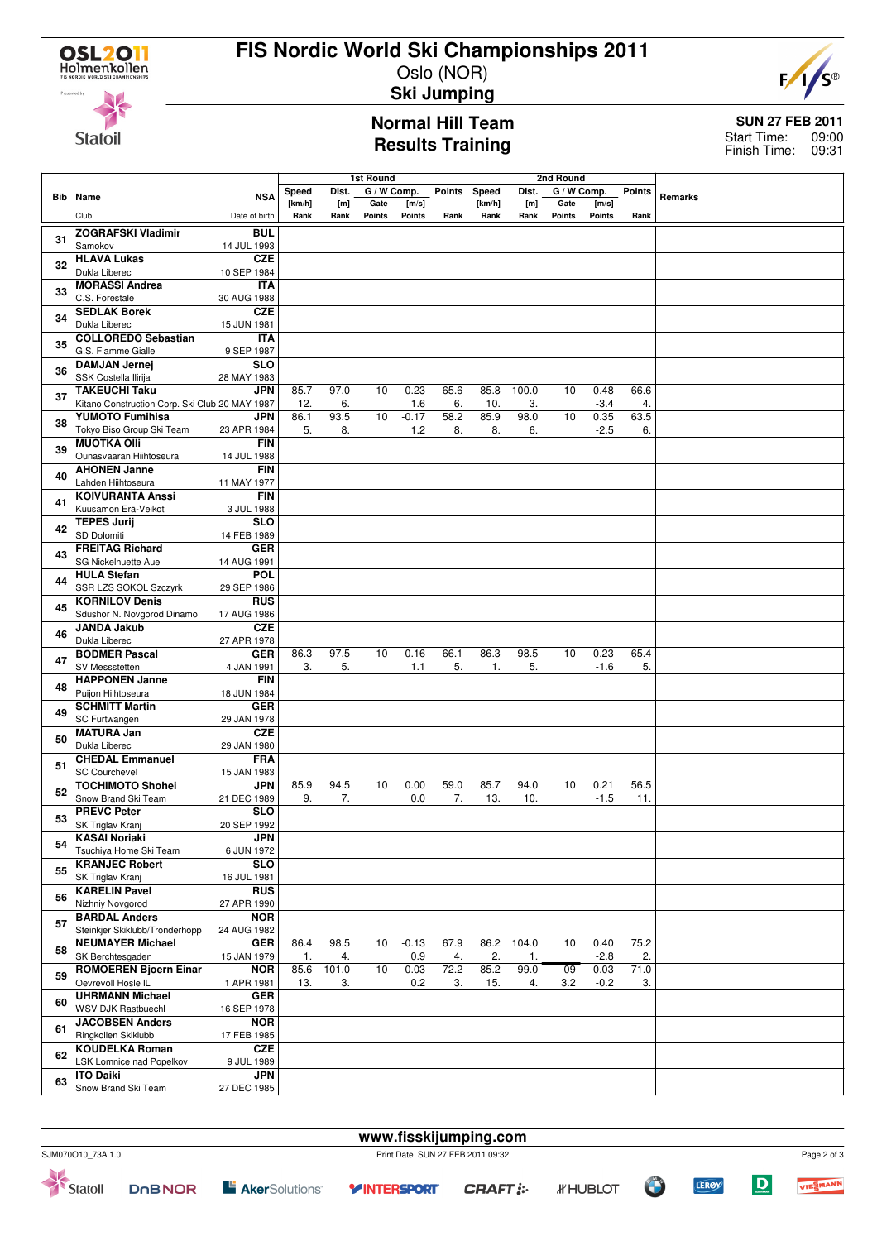

# **FIS Nordic World Ski Championships 2011**

Oslo (NOR) **Ski Jumping**



**Statoil** 

### **Normal Hill Team Results Training**

### **SUN 27 FEB 2011** 09:00 Finish Time: 09:31 Start Time:

|    |                                                | 1st Round                 |            |             |             | 2nd Round      |               |            |            |             |                |               |         |
|----|------------------------------------------------|---------------------------|------------|-------------|-------------|----------------|---------------|------------|------------|-------------|----------------|---------------|---------|
|    | <b>Bib</b> Name                                | <b>NSA</b>                | Speed      | Dist.       | G / W Comp. |                | <b>Points</b> | Speed      | Dist.      | G / W Comp. |                | <b>Points</b> | Remarks |
|    |                                                |                           | [km/h]     | [m]         | Gate        | [m/s]          |               | [km/h]     | [m]        | Gate        | [m/s]          |               |         |
|    | Club                                           | Date of birth             | Rank       | Rank        | Points      | Points         | Rank          | Rank       | Rank       | Points      | <b>Points</b>  | Rank          |         |
| 31 | <b>ZOGRAFSKI Vladimir</b>                      | <b>BUL</b>                |            |             |             |                |               |            |            |             |                |               |         |
|    | Samokov                                        | 14 JUL 1993               |            |             |             |                |               |            |            |             |                |               |         |
| 32 | <b>HLAVA Lukas</b>                             | <b>CZE</b>                |            |             |             |                |               |            |            |             |                |               |         |
|    | Dukla Liberec<br><b>MORASSI Andrea</b>         | 10 SEP 1984<br><b>ITA</b> |            |             |             |                |               |            |            |             |                |               |         |
| 33 | C.S. Forestale                                 | 30 AUG 1988               |            |             |             |                |               |            |            |             |                |               |         |
|    | <b>SEDLAK Borek</b>                            | <b>CZE</b>                |            |             |             |                |               |            |            |             |                |               |         |
| 34 | Dukla Liberec                                  | 15 JUN 1981               |            |             |             |                |               |            |            |             |                |               |         |
|    | <b>COLLOREDO Sebastian</b>                     | <b>ITA</b>                |            |             |             |                |               |            |            |             |                |               |         |
| 35 | G.S. Fiamme Gialle                             | 9 SEP 1987                |            |             |             |                |               |            |            |             |                |               |         |
|    | <b>DAMJAN Jernej</b>                           | <b>SLO</b>                |            |             |             |                |               |            |            |             |                |               |         |
| 36 | SSK Costella Ilirija                           | 28 MAY 1983               |            |             |             |                |               |            |            |             |                |               |         |
| 37 | <b>TAKEUCHI Taku</b>                           | <b>JPN</b>                | 85.7       | 97.0        | 10          | $-0.23$        | 65.6          | 85.8       | 100.0      | 10          | 0.48           | 66.6          |         |
|    | Kitano Construction Corp. Ski Club 20 MAY 1987 |                           | 12.        | 6.          |             | 1.6            | 6.            | 10.        | 3.         |             | $-3.4$         | 4.            |         |
| 38 | <b>YUMOTO Fumihisa</b>                         | JPN                       | 86.1       | 93.5        | 10          | $-0.17$        | 58.2          | 85.9       | 98.0       | 10          | 0.35           | 63.5          |         |
|    | Tokyo Biso Group Ski Team                      | 23 APR 1984               | 5.         | 8.          |             | 1.2            | 8.            | 8.         | 6.         |             | $-2.5$         | 6.            |         |
| 39 | <b>MUOTKA OIII</b><br>Ounasvaaran Hiihtoseura  | <b>FIN</b><br>14 JUL 1988 |            |             |             |                |               |            |            |             |                |               |         |
|    | <b>AHONEN Janne</b>                            | <b>FIN</b>                |            |             |             |                |               |            |            |             |                |               |         |
| 40 | Lahden Hiihtoseura                             | 11 MAY 1977               |            |             |             |                |               |            |            |             |                |               |         |
|    | <b>KOIVURANTA Anssi</b>                        | <b>FIN</b>                |            |             |             |                |               |            |            |             |                |               |         |
| 41 | Kuusamon Erä-Veikot                            | 3 JUL 1988                |            |             |             |                |               |            |            |             |                |               |         |
|    | <b>TEPES Jurij</b>                             | <b>SLO</b>                |            |             |             |                |               |            |            |             |                |               |         |
| 42 | SD Dolomiti                                    | 14 FEB 1989               |            |             |             |                |               |            |            |             |                |               |         |
| 43 | <b>FREITAG Richard</b>                         | <b>GER</b>                |            |             |             |                |               |            |            |             |                |               |         |
|    | SG Nickelhuette Aue                            | 14 AUG 1991               |            |             |             |                |               |            |            |             |                |               |         |
| 44 | <b>HULA Stefan</b>                             | POL                       |            |             |             |                |               |            |            |             |                |               |         |
|    | SSR LZS SOKOL Szczyrk                          | 29 SEP 1986               |            |             |             |                |               |            |            |             |                |               |         |
| 45 | <b>KORNILOV Denis</b>                          | <b>RUS</b>                |            |             |             |                |               |            |            |             |                |               |         |
|    | Sdushor N. Novgorod Dinamo                     | 17 AUG 1986               |            |             |             |                |               |            |            |             |                |               |         |
| 46 | <b>JANDA Jakub</b><br>Dukla Liberec            | <b>CZE</b><br>27 APR 1978 |            |             |             |                |               |            |            |             |                |               |         |
|    | <b>BODMER Pascal</b>                           | <b>GER</b>                | 86.3       | 97.5        | 10          | $-0.16$        | 66.1          | 86.3       | 98.5       | 10          | 0.23           | 65.4          |         |
| 47 | SV Messstetten                                 | 4 JAN 1991                | 3.         | 5.          |             | 1.1            | 5.            | 1.         | 5.         |             | $-1.6$         | 5.            |         |
|    | <b>HAPPONEN Janne</b>                          | <b>FIN</b>                |            |             |             |                |               |            |            |             |                |               |         |
| 48 | Puijon Hiihtoseura                             | 18 JUN 1984               |            |             |             |                |               |            |            |             |                |               |         |
|    | <b>SCHMITT Martin</b>                          | <b>GER</b>                |            |             |             |                |               |            |            |             |                |               |         |
| 49 | SC Furtwangen                                  | 29 JAN 1978               |            |             |             |                |               |            |            |             |                |               |         |
| 50 | <b>MATURA Jan</b>                              | <b>CZE</b>                |            |             |             |                |               |            |            |             |                |               |         |
|    | Dukla Liberec                                  | 29 JAN 1980               |            |             |             |                |               |            |            |             |                |               |         |
| 51 | <b>CHEDAL Emmanuel</b>                         | <b>FRA</b>                |            |             |             |                |               |            |            |             |                |               |         |
|    | <b>SC Courchevel</b>                           | 15 JAN 1983               |            |             |             |                |               |            |            |             |                |               |         |
| 52 | <b>TOCHIMOTO Shohei</b>                        | <b>JPN</b>                | 85.9       | 94.5        | 10          | 0.00           | 59.0          | 85.7       | 94.0       | 10          | 0.21           | 56.5          |         |
|    | Snow Brand Ski Team<br><b>PREVC Peter</b>      | 21 DEC 1989<br><b>SLO</b> | 9.         | 7.          |             | 0.0            | 7.            | 13.        | 10.        |             | $-1.5$         | 11.           |         |
| 53 | SK Triglav Kranj                               | 20 SEP 1992               |            |             |             |                |               |            |            |             |                |               |         |
|    | <b>KASAI Noriaki</b>                           | <b>JPN</b>                |            |             |             |                |               |            |            |             |                |               |         |
| 54 | Tsuchiya Home Ski Team                         | 6 JUN 1972                |            |             |             |                |               |            |            |             |                |               |         |
|    | <b>KRANJEC Robert</b>                          | <b>SLO</b>                |            |             |             |                |               |            |            |             |                |               |         |
| 55 | SK Triglav Kranj                               | 16 JUL 1981               |            |             |             |                |               |            |            |             |                |               |         |
| 56 | <b>KARELIN Pavel</b>                           | <b>RUS</b>                |            |             |             |                |               |            |            |             |                |               |         |
|    | Nizhniy Novgorod                               | 27 APR 1990               |            |             |             |                |               |            |            |             |                |               |         |
| 57 | <b>BARDAL Anders</b>                           | <b>NOR</b>                |            |             |             |                |               |            |            |             |                |               |         |
|    | Steinkjer Skiklubb/Tronderhopp                 | 24 AUG 1982               |            |             |             |                |               |            |            |             |                |               |         |
| 58 | <b>NEUMAYER Michael</b><br>SK Berchtesgaden    | <b>GER</b>                | 86.4       | 98.5        | 10          | $-0.13$        | 67.9          | 86.2       | 104.0      | 10          | 0.40           | 75.2<br>2.    |         |
|    | <b>ROMOEREN Bjoern Einar</b>                   | 15 JAN 1979<br><b>NOR</b> | 1.<br>85.6 | 4.<br>101.0 | 10          | 0.9<br>$-0.03$ | 4.<br>72.2    | 2.<br>85.2 | 1.<br>99.0 | 09          | $-2.8$<br>0.03 | 71.0          |         |
| 59 | Oevrevoll Hosle IL                             | 1 APR 1981                | 13.        | 3.          |             | 0.2            | 3.            | 15.        | 4.         | 3.2         | $-0.2$         | 3.            |         |
|    | <b>UHRMANN Michael</b>                         | <b>GER</b>                |            |             |             |                |               |            |            |             |                |               |         |
| 60 | WSV DJK Rastbuechl                             | 16 SEP 1978               |            |             |             |                |               |            |            |             |                |               |         |
|    | <b>JACOBSEN Anders</b>                         | <b>NOR</b>                |            |             |             |                |               |            |            |             |                |               |         |
| 61 | Ringkollen Skiklubb                            | 17 FEB 1985               |            |             |             |                |               |            |            |             |                |               |         |
| 62 | <b>KOUDELKA Roman</b>                          | <b>CZE</b>                |            |             |             |                |               |            |            |             |                |               |         |
|    | LSK Lomnice nad Popelkov                       | 9 JUL 1989                |            |             |             |                |               |            |            |             |                |               |         |
| 63 | <b>ITO Daiki</b>                               | <b>JPN</b>                |            |             |             |                |               |            |            |             |                |               |         |
|    | Snow Brand Ski Team                            | 27 DEC 1985               |            |             |             |                |               |            |            |             |                |               |         |



**E** AkerSolutions<sup>®</sup>

**www.fisskijumping.com**

**OF** 

**LERØY** 



 $\boxed{\mathbf{D}}$